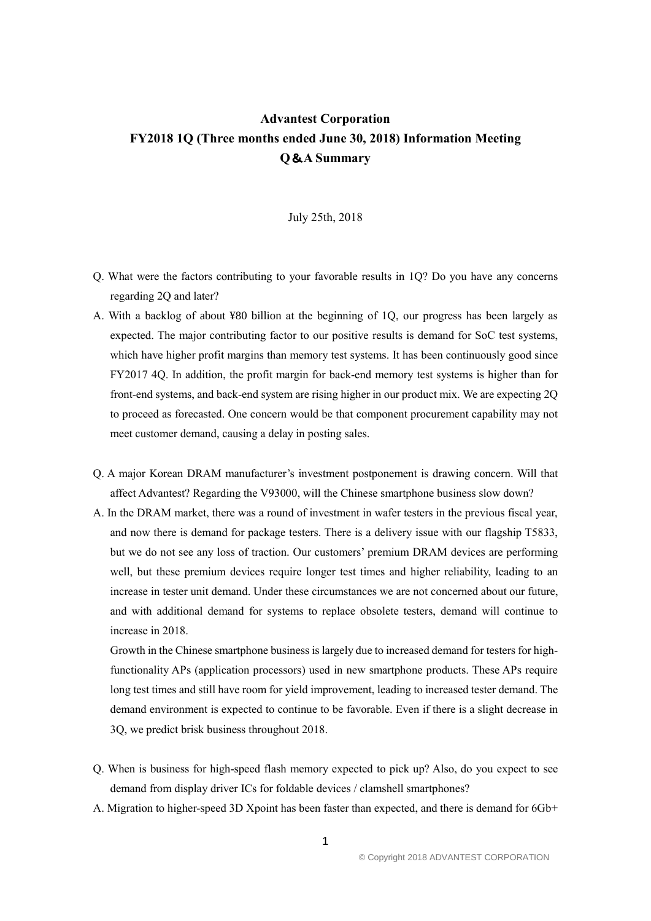## **Advantest Corporation FY2018 1Q (Three months ended June 30, 2018) Information Meeting Q**&**A Summary**

## July 25th, 2018

- Q. What were the factors contributing to your favorable results in 1Q? Do you have any concerns regarding 2Q and later?
- A. With a backlog of about ¥80 billion at the beginning of 1Q, our progress has been largely as expected. The major contributing factor to our positive results is demand for SoC test systems, which have higher profit margins than memory test systems. It has been continuously good since FY2017 4Q. In addition, the profit margin for back-end memory test systems is higher than for front-end systems, and back-end system are rising higher in our product mix. We are expecting 2Q to proceed as forecasted. One concern would be that component procurement capability may not meet customer demand, causing a delay in posting sales.
- Q. A major Korean DRAM manufacturer's investment postponement is drawing concern. Will that affect Advantest? Regarding the V93000, will the Chinese smartphone business slow down?
- A. In the DRAM market, there was a round of investment in wafer testers in the previous fiscal year, and now there is demand for package testers. There is a delivery issue with our flagship T5833, but we do not see any loss of traction. Our customers' premium DRAM devices are performing well, but these premium devices require longer test times and higher reliability, leading to an increase in tester unit demand. Under these circumstances we are not concerned about our future, and with additional demand for systems to replace obsolete testers, demand will continue to increase in 2018.

Growth in the Chinese smartphone business is largely due to increased demand for testers for highfunctionality APs (application processors) used in new smartphone products. These APs require long test times and still have room for yield improvement, leading to increased tester demand. The demand environment is expected to continue to be favorable. Even if there is a slight decrease in 3Q, we predict brisk business throughout 2018.

- Q. When is business for high-speed flash memory expected to pick up? Also, do you expect to see demand from display driver ICs for foldable devices / clamshell smartphones?
- A. Migration to higher-speed 3D Xpoint has been faster than expected, and there is demand for 6Gb+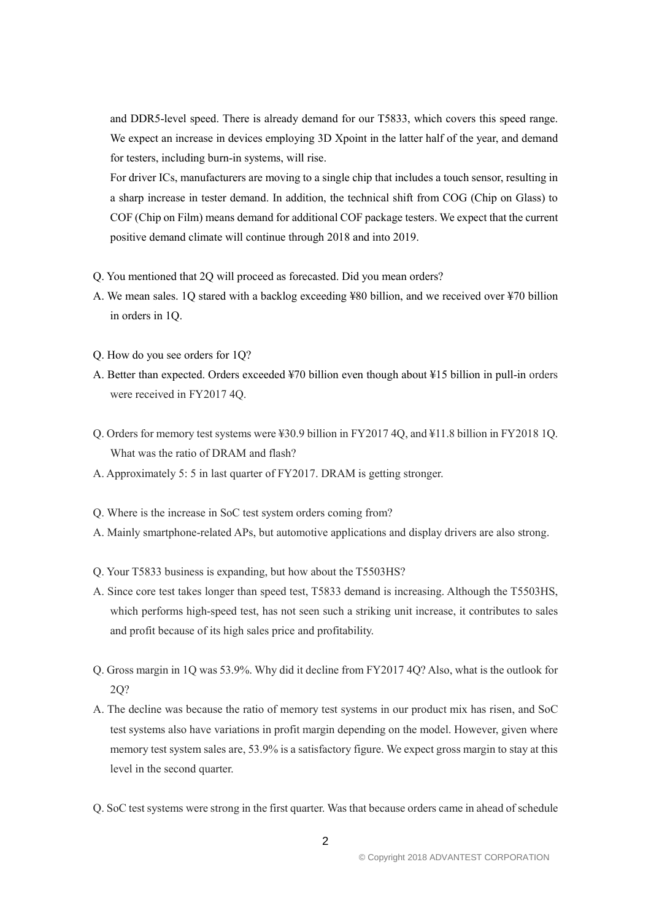and DDR5-level speed. There is already demand for our T5833, which covers this speed range. We expect an increase in devices employing 3D Xpoint in the latter half of the year, and demand for testers, including burn-in systems, will rise.

For driver ICs, manufacturers are moving to a single chip that includes a touch sensor, resulting in a sharp increase in tester demand. In addition, the technical shift from COG (Chip on Glass) to COF (Chip on Film) means demand for additional COF package testers. We expect that the current positive demand climate will continue through 2018 and into 2019.

- Q. You mentioned that 2Q will proceed as forecasted. Did you mean orders?
- A. We mean sales. 1Q stared with a backlog exceeding ¥80 billion, and we received over ¥70 billion in orders in 1Q.
- Q. How do you see orders for 1Q?
- A. Better than expected. Orders exceeded ¥70 billion even though about ¥15 billion in pull-in orders were received in FY2017 4Q.
- Q. Orders for memory test systems were ¥30.9 billion in FY2017 4Q, and ¥11.8 billion in FY2018 1Q. What was the ratio of DRAM and flash?
- A. Approximately 5: 5 in last quarter of FY2017. DRAM is getting stronger.
- Q. Where is the increase in SoC test system orders coming from?
- A. Mainly smartphone-related APs, but automotive applications and display drivers are also strong.
- Q. Your T5833 business is expanding, but how about the T5503HS?
- A. Since core test takes longer than speed test, T5833 demand is increasing. Although the T5503HS, which performs high-speed test, has not seen such a striking unit increase, it contributes to sales and profit because of its high sales price and profitability.
- Q. Gross margin in 1Q was 53.9%. Why did it decline from FY2017 4Q? Also, what is the outlook for 2Q?
- A. The decline was because the ratio of memory test systems in our product mix has risen, and SoC test systems also have variations in profit margin depending on the model. However, given where memory test system sales are, 53.9% is a satisfactory figure. We expect gross margin to stay at this level in the second quarter.
- Q. SoC test systems were strong in the first quarter. Was that because orders came in ahead of schedule